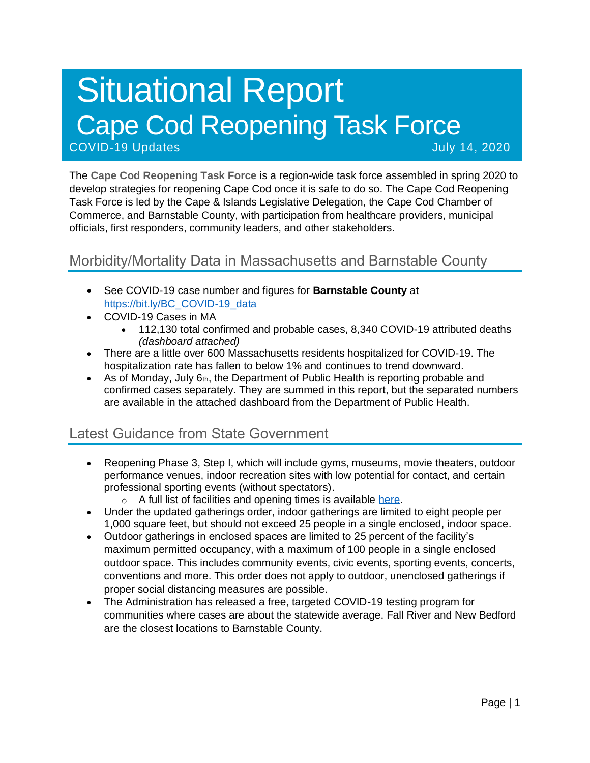# Situational Report Cape Cod Reopening Task Force COVID-19 Updates July 14, 2020

The **Cape Cod Reopening Task Force** is a region-wide task force assembled in spring 2020 to develop strategies for reopening Cape Cod once it is safe to do so. The Cape Cod Reopening Task Force is led by the Cape & Islands Legislative Delegation, the Cape Cod Chamber of Commerce, and Barnstable County, with participation from healthcare providers, municipal officials, first responders, community leaders, and other stakeholders.

# Morbidity/Mortality Data in Massachusetts and Barnstable County

- See COVID-19 case number and figures for **Barnstable County** at [https://bit.ly/BC\\_COVID-19\\_data](https://bit.ly/BC_COVID-19_data)
- COVID-19 Cases in MA
	- 112,130 total confirmed and probable cases, 8,340 COVID-19 attributed deaths *(dashboard attached)*
- There are a little over 600 Massachusetts residents hospitalized for COVID-19. The hospitalization rate has fallen to below 1% and continues to trend downward.
- As of Monday, July  $6<sub>th</sub>$ , the Department of Public Health is reporting probable and confirmed cases separately. They are summed in this report, but the separated numbers are available in the attached dashboard from the Department of Public Health.

## Latest Guidance from State Government

- Reopening Phase 3, Step I, which will include gyms, museums, movie theaters, outdoor performance venues, indoor recreation sites with low potential for contact, and certain professional sporting events (without spectators).
	- o A full list of facilities and opening times is available [here.](https://www.mass.gov/info-details/reopening-when-can-my-business-reopen)
- Under the updated gatherings order, indoor gatherings are limited to eight people per 1,000 square feet, but should not exceed 25 people in a single enclosed, indoor space.
- Outdoor gatherings in enclosed spaces are limited to 25 percent of the facility's maximum permitted occupancy, with a maximum of 100 people in a single enclosed outdoor space. This includes community events, civic events, sporting events, concerts, conventions and more. This order does not apply to outdoor, unenclosed gatherings if proper social distancing measures are possible.
- The Administration has released a free, targeted COVID-19 testing program for communities where cases are about the statewide average. Fall River and New Bedford are the closest locations to Barnstable County.